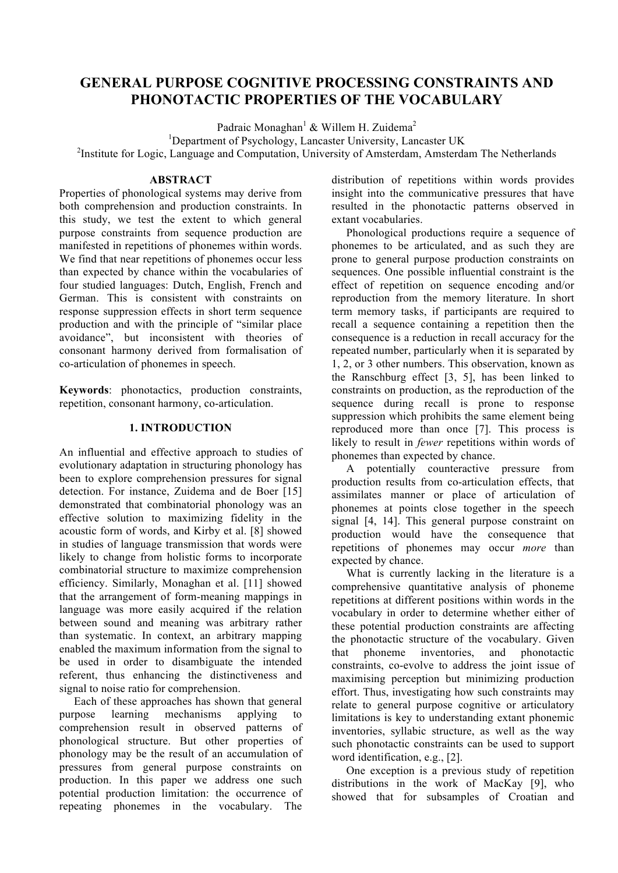# **GENERAL PURPOSE COGNITIVE PROCESSING CONSTRAINTS AND PHONOTACTIC PROPERTIES OF THE VOCABULARY**

Padraic Monaghan<sup>1</sup> & Willem H. Zuidema<sup>2</sup>

<sup>1</sup>Department of Psychology, Lancaster University, Lancaster UK

<sup>2</sup>Institute for Logic, Language and Computation, University of Amsterdam, Amsterdam The Netherlands

### **ABSTRACT**

Properties of phonological systems may derive from both comprehension and production constraints. In this study, we test the extent to which general purpose constraints from sequence production are manifested in repetitions of phonemes within words. We find that near repetitions of phonemes occur less than expected by chance within the vocabularies of four studied languages: Dutch, English, French and German. This is consistent with constraints on response suppression effects in short term sequence production and with the principle of "similar place avoidance", but inconsistent with theories of consonant harmony derived from formalisation of co-articulation of phonemes in speech.

**Keywords**: phonotactics, production constraints, repetition, consonant harmony, co-articulation.

## **1. INTRODUCTION**

An influential and effective approach to studies of evolutionary adaptation in structuring phonology has been to explore comprehension pressures for signal detection. For instance, Zuidema and de Boer [15] demonstrated that combinatorial phonology was an effective solution to maximizing fidelity in the acoustic form of words, and Kirby et al. [8] showed in studies of language transmission that words were likely to change from holistic forms to incorporate combinatorial structure to maximize comprehension efficiency. Similarly, Monaghan et al. [11] showed that the arrangement of form-meaning mappings in language was more easily acquired if the relation between sound and meaning was arbitrary rather than systematic. In context, an arbitrary mapping enabled the maximum information from the signal to be used in order to disambiguate the intended referent, thus enhancing the distinctiveness and signal to noise ratio for comprehension.

Each of these approaches has shown that general purpose learning mechanisms applying to comprehension result in observed patterns of phonological structure. But other properties of phonology may be the result of an accumulation of pressures from general purpose constraints on production. In this paper we address one such potential production limitation: the occurrence of repeating phonemes in the vocabulary. The

distribution of repetitions within words provides insight into the communicative pressures that have resulted in the phonotactic patterns observed in extant vocabularies.

Phonological productions require a sequence of phonemes to be articulated, and as such they are prone to general purpose production constraints on sequences. One possible influential constraint is the effect of repetition on sequence encoding and/or reproduction from the memory literature. In short term memory tasks, if participants are required to recall a sequence containing a repetition then the consequence is a reduction in recall accuracy for the repeated number, particularly when it is separated by 1, 2, or 3 other numbers. This observation, known as the Ranschburg effect [3, 5], has been linked to constraints on production, as the reproduction of the sequence during recall is prone to response suppression which prohibits the same element being reproduced more than once [7]. This process is likely to result in *fewer* repetitions within words of phonemes than expected by chance.

A potentially counteractive pressure from production results from co-articulation effects, that assimilates manner or place of articulation of phonemes at points close together in the speech signal [4, 14]. This general purpose constraint on production would have the consequence that repetitions of phonemes may occur *more* than expected by chance.

What is currently lacking in the literature is a comprehensive quantitative analysis of phoneme repetitions at different positions within words in the vocabulary in order to determine whether either of these potential production constraints are affecting the phonotactic structure of the vocabulary. Given that phoneme inventories, and phonotactic constraints, co-evolve to address the joint issue of maximising perception but minimizing production effort. Thus, investigating how such constraints may relate to general purpose cognitive or articulatory limitations is key to understanding extant phonemic inventories, syllabic structure, as well as the way such phonotactic constraints can be used to support word identification, e.g., [2].

One exception is a previous study of repetition distributions in the work of MacKay [9], who showed that for subsamples of Croatian and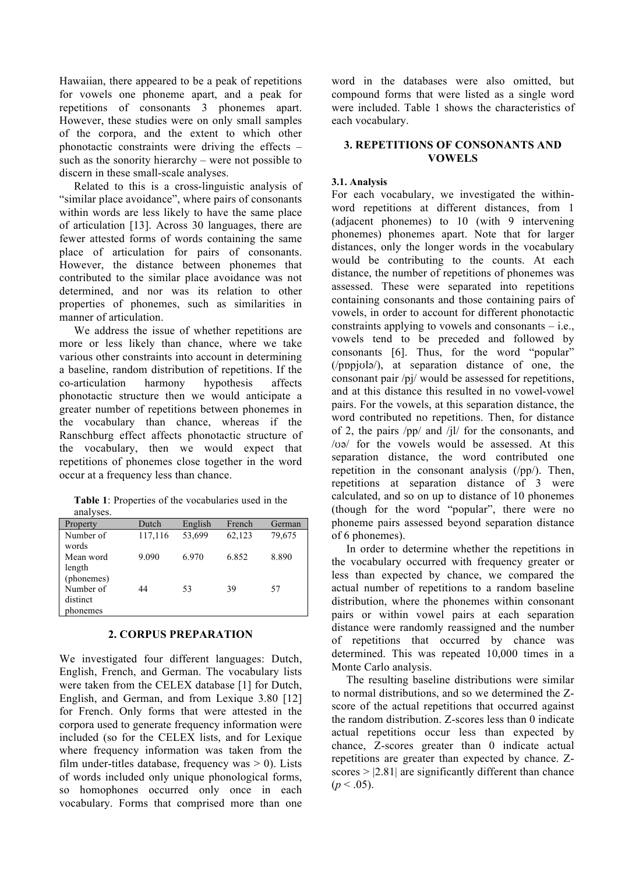Hawaiian, there appeared to be a peak of repetitions for vowels one phoneme apart, and a peak for repetitions of consonants 3 phonemes apart. However, these studies were on only small samples of the corpora, and the extent to which other phonotactic constraints were driving the effects – such as the sonority hierarchy – were not possible to discern in these small-scale analyses.

Related to this is a cross-linguistic analysis of "similar place avoidance", where pairs of consonants within words are less likely to have the same place of articulation [13]. Across 30 languages, there are fewer attested forms of words containing the same place of articulation for pairs of consonants. However, the distance between phonemes that contributed to the similar place avoidance was not determined, and nor was its relation to other properties of phonemes, such as similarities in manner of articulation.

We address the issue of whether repetitions are more or less likely than chance, where we take various other constraints into account in determining a baseline, random distribution of repetitions. If the co-articulation harmony hypothesis affects phonotactic structure then we would anticipate a greater number of repetitions between phonemes in the vocabulary than chance, whereas if the Ranschburg effect affects phonotactic structure of the vocabulary, then we would expect that repetitions of phonemes close together in the word occur at a frequency less than chance.

**Table 1**: Properties of the vocabularies used in the analyses.

| alialyses.                        |         |         |        |        |
|-----------------------------------|---------|---------|--------|--------|
| Property                          | Dutch   | English | French | German |
| Number of<br>words                | 117,116 | 53,699  | 62,123 | 79,675 |
| Mean word<br>length<br>(phonemes) | 9.090   | 6.970   | 6.852  | 8.890  |
| Number of<br>distinct<br>ohonemes | 44      | 53      | 39     | 57     |

## **2. CORPUS PREPARATION**

We investigated four different languages: Dutch, English, French, and German. The vocabulary lists were taken from the CELEX database [1] for Dutch, English, and German, and from Lexique 3.80 [12] for French. Only forms that were attested in the corpora used to generate frequency information were included (so for the CELEX lists, and for Lexique where frequency information was taken from the film under-titles database, frequency was  $> 0$ ). Lists of words included only unique phonological forms, so homophones occurred only once in each vocabulary. Forms that comprised more than one word in the databases were also omitted, but compound forms that were listed as a single word were included. Table 1 shows the characteristics of each vocabulary.

### **3. REPETITIONS OF CONSONANTS AND VOWELS**

### **3.1. Analysis**

For each vocabulary, we investigated the withinword repetitions at different distances, from 1 (adjacent phonemes) to 10 (with 9 intervening phonemes) phonemes apart. Note that for larger distances, only the longer words in the vocabulary would be contributing to the counts. At each distance, the number of repetitions of phonemes was assessed. These were separated into repetitions containing consonants and those containing pairs of vowels, in order to account for different phonotactic constraints applying to vowels and consonants – i.e., vowels tend to be preceded and followed by consonants [6]. Thus, for the word "popular" (/pɒpjʊlə/), at separation distance of one, the consonant pair /pj/ would be assessed for repetitions, and at this distance this resulted in no vowel-vowel pairs. For the vowels, at this separation distance, the word contributed no repetitions. Then, for distance of 2, the pairs /pp/ and /jl/ for the consonants, and /ʊə/ for the vowels would be assessed. At this separation distance, the word contributed one repetition in the consonant analysis (/pp/). Then, repetitions at separation distance of 3 were calculated, and so on up to distance of 10 phonemes (though for the word "popular", there were no phoneme pairs assessed beyond separation distance of 6 phonemes).

In order to determine whether the repetitions in the vocabulary occurred with frequency greater or less than expected by chance, we compared the actual number of repetitions to a random baseline distribution, where the phonemes within consonant pairs or within vowel pairs at each separation distance were randomly reassigned and the number of repetitions that occurred by chance was determined. This was repeated 10,000 times in a Monte Carlo analysis.

The resulting baseline distributions were similar to normal distributions, and so we determined the Zscore of the actual repetitions that occurred against the random distribution. Z-scores less than 0 indicate actual repetitions occur less than expected by chance, Z-scores greater than 0 indicate actual repetitions are greater than expected by chance. Zscores  $> |2.81|$  are significantly different than chance  $(p < .05)$ .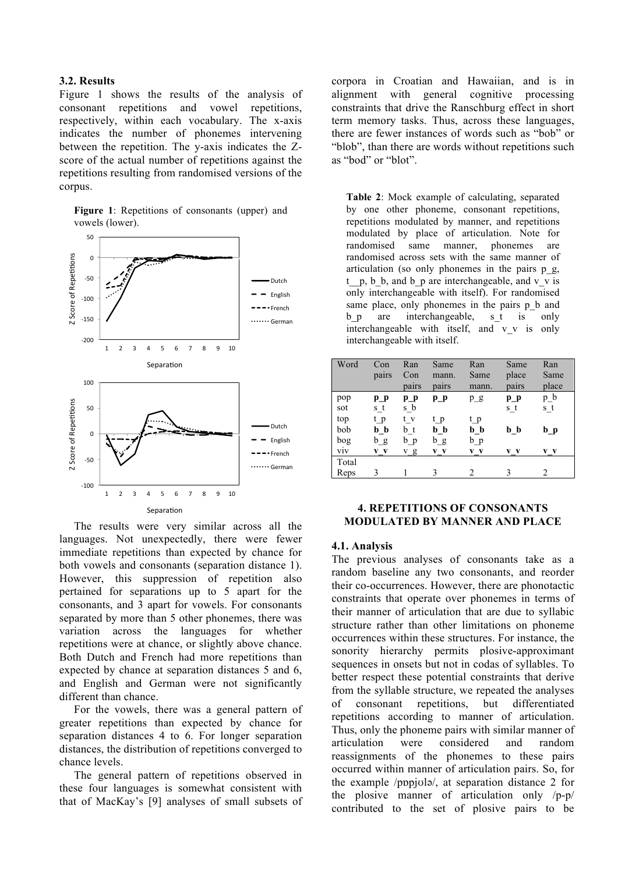#### **3.2. Results**

Figure 1 shows the results of the analysis of consonant repetitions and vowel repetitions, respectively, within each vocabulary. The x-axis indicates the number of phonemes intervening between the repetition. The y-axis indicates the Zscore of the actual number of repetitions against the repetitions resulting from randomised versions of the corpus.

**Figure 1**: Repetitions of consonants (upper) and vowels (lower).



The results were very similar across all the languages. Not unexpectedly, there were fewer immediate repetitions than expected by chance for both vowels and consonants (separation distance 1). However, this suppression of repetition also pertained for separations up to 5 apart for the consonants, and 3 apart for vowels. For consonants separated by more than 5 other phonemes, there was variation across the languages for whether repetitions were at chance, or slightly above chance. Both Dutch and French had more repetitions than expected by chance at separation distances 5 and 6, and English and German were not significantly different than chance.

For the vowels, there was a general pattern of greater repetitions than expected by chance for separation distances 4 to 6. For longer separation distances, the distribution of repetitions converged to chance levels.

The general pattern of repetitions observed in these four languages is somewhat consistent with that of MacKay's [9] analyses of small subsets of corpora in Croatian and Hawaiian, and is in alignment with general cognitive processing constraints that drive the Ranschburg effect in short term memory tasks. Thus, across these languages, there are fewer instances of words such as "bob" or "blob", than there are words without repetitions such as "bod" or "blot".

**Table 2**: Mock example of calculating, separated by one other phoneme, consonant repetitions, repetitions modulated by manner, and repetitions modulated by place of articulation. Note for randomised same manner, phonemes are randomised across sets with the same manner of articulation (so only phonemes in the pairs p\_g,  $t_p$ ,  $b_b$ , and  $b_p$  are interchangeable, and v v is only interchangeable with itself). For randomised same place, only phonemes in the pairs p b and b p are interchangeable, s t is only interchangeable with itself, and v\_v is only interchangeable with itself.

| Word  | Con   | Ran   | Same  | Ran   | Same  | Ran   |
|-------|-------|-------|-------|-------|-------|-------|
|       | pairs | Con   | mann. | Same  | place | Same  |
|       |       | pairs | pairs | mann. | pairs | place |
| pop   | $p_p$ | $p_p$ | $p_p$ | pg    | $p_p$ | $p_b$ |
| sot   | s t   | $s_b$ |       |       | s t   | s t   |
| top   | t p   | t v   | t p   | t p   |       |       |
| bob   | b b   | b t   | b b   | b b   | b b   | b p   |
| bog   | b g   | b p   | $b_g$ | $b_p$ |       |       |
| viv   | V V   | v g   | v v   | V V   | V V   | $V$ V |
| Total |       |       |       |       |       |       |
| Reps  | 3     |       | 3     | 2     | 3     | 2     |

### **4. REPETITIONS OF CONSONANTS MODULATED BY MANNER AND PLACE**

### **4.1. Analysis**

The previous analyses of consonants take as a random baseline any two consonants, and reorder their co-occurrences. However, there are phonotactic constraints that operate over phonemes in terms of their manner of articulation that are due to syllabic structure rather than other limitations on phoneme occurrences within these structures. For instance, the sonority hierarchy permits plosive-approximant sequences in onsets but not in codas of syllables. To better respect these potential constraints that derive from the syllable structure, we repeated the analyses of consonant repetitions, but differentiated repetitions according to manner of articulation. Thus, only the phoneme pairs with similar manner of articulation were considered and random reassignments of the phonemes to these pairs occurred within manner of articulation pairs. So, for the example /pɒpjʊlə/, at separation distance 2 for the plosive manner of articulation only /p-p/ contributed to the set of plosive pairs to be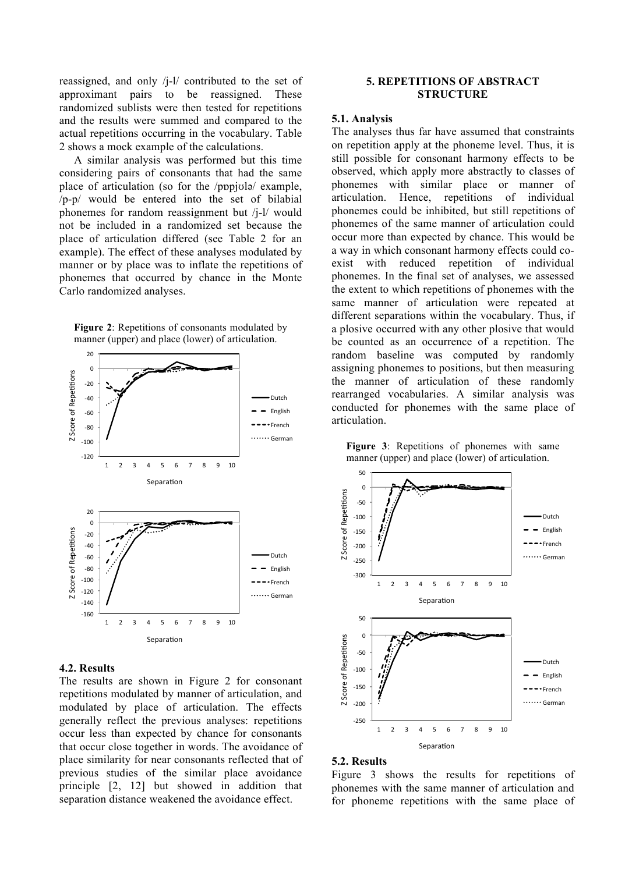reassigned, and only /j-l/ contributed to the set of approximant pairs to be reassigned. These randomized sublists were then tested for repetitions and the results were summed and compared to the actual repetitions occurring in the vocabulary. Table 2 shows a mock example of the calculations.

A similar analysis was performed but this time considering pairs of consonants that had the same place of articulation (so for the /pɒpjʊlə/ example, /p-p/ would be entered into the set of bilabial phonemes for random reassignment but /j-l/ would not be included in a randomized set because the place of articulation differed (see Table 2 for an example). The effect of these analyses modulated by manner or by place was to inflate the repetitions of phonemes that occurred by chance in the Monte Carlo randomized analyses.



#### **Figure 2**: Repetitions of consonants modulated by manner (upper) and place (lower) of articulation.

### **4.2. Results**

The results are shown in Figure 2 for consonant repetitions modulated by manner of articulation, and modulated by place of articulation. The effects generally reflect the previous analyses: repetitions occur less than expected by chance for consonants that occur close together in words. The avoidance of place similarity for near consonants reflected that of previous studies of the similar place avoidance principle [2, 12] but showed in addition that separation distance weakened the avoidance effect.

### **5. REPETITIONS OF ABSTRACT STRUCTURE**

### **5.1. Analysis**

The analyses thus far have assumed that constraints on repetition apply at the phoneme level. Thus, it is still possible for consonant harmony effects to be observed, which apply more abstractly to classes of phonemes with similar place or manner of articulation. Hence, repetitions of individual phonemes could be inhibited, but still repetitions of phonemes of the same manner of articulation could occur more than expected by chance. This would be a way in which consonant harmony effects could coexist with reduced repetition of individual phonemes. In the final set of analyses, we assessed the extent to which repetitions of phonemes with the same manner of articulation were repeated at different separations within the vocabulary. Thus, if a plosive occurred with any other plosive that would be counted as an occurrence of a repetition. The random baseline was computed by randomly assigning phonemes to positions, but then measuring the manner of articulation of these randomly rearranged vocabularies. A similar analysis was conducted for phonemes with the same place of articulation.



#### **Figure 3**: Repetitions of phonemes with same manner (upper) and place (lower) of articulation.

#### **5.2. Results**

Figure 3 shows the results for repetitions of phonemes with the same manner of articulation and for phoneme repetitions with the same place of